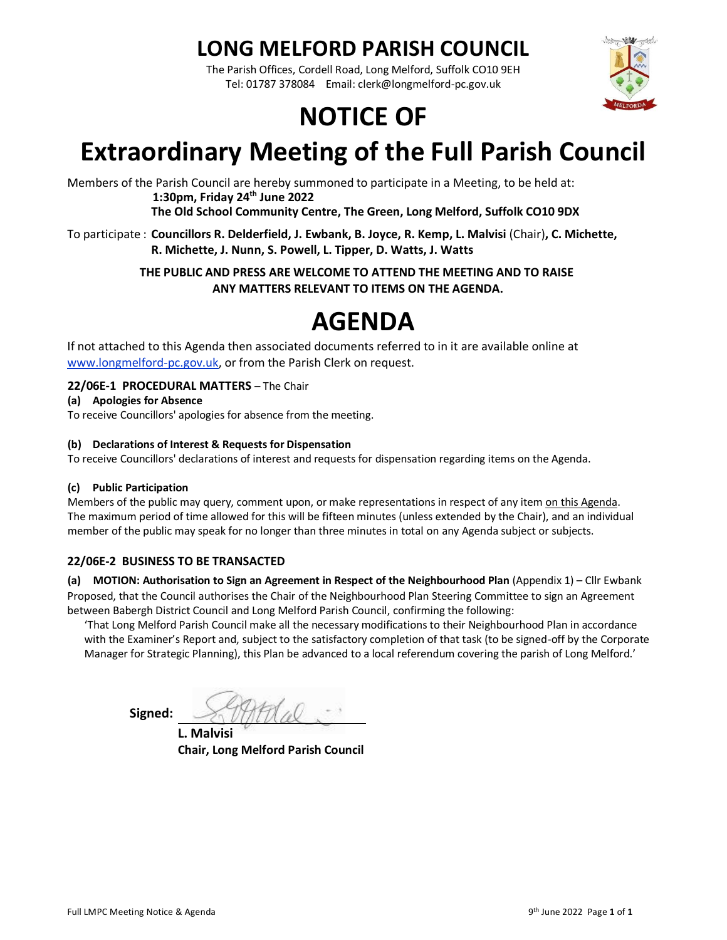## **LONG MELFORD PARISH COUNCIL**

The Parish Offices, Cordell Road, Long Melford, Suffolk CO10 9EH Tel: 01787 378084 Email: clerk@longmelford-pc.gov.uk

# **NOTICE OF**



Members of the Parish Council are hereby summoned to participate in a Meeting, to be held at: **1:30pm, Friday 24th June 2022**

**The Old School Community Centre, The Green, Long Melford, Suffolk CO10 9DX**

To participate : **Councillors R. Delderfield, J. Ewbank, B. Joyce, R. Kemp, L. Malvisi** (Chair)**, C. Michette, R. Michette, J. Nunn, S. Powell, L. Tipper, D. Watts, J. Watts**

> **THE PUBLIC AND PRESS ARE WELCOME TO ATTEND THE MEETING AND TO RAISE ANY MATTERS RELEVANT TO ITEMS ON THE AGENDA.**

## **AGENDA**

If not attached to this Agenda then associated documents referred to in it are available online at [www.longmelford-pc.gov.uk,](http://www.longmelford-pc.gov.uk/) or from the Parish Clerk on request.

#### **22/06E-1 PROCEDURAL MATTERS** – The Chair

#### **(a) Apologies for Absence**

To receive Councillors' apologies for absence from the meeting.

#### **(b) Declarations of Interest & Requests for Dispensation**

To receive Councillors' declarations of interest and requests for dispensation regarding items on the Agenda.

#### **(c) Public Participation**

Members of the public may query, comment upon, or make representations in respect of any item on this Agenda. The maximum period of time allowed for this will be fifteen minutes (unless extended by the Chair), and an individual member of the public may speak for no longer than three minutes in total on any Agenda subject or subjects.

#### **22/06E-2 BUSINESS TO BE TRANSACTED**

**(a) MOTION: Authorisation to Sign an Agreement in Respect of the Neighbourhood Plan** (Appendix 1) – Cllr Ewbank Proposed, that the Council authorises the Chair of the Neighbourhood Plan Steering Committee to sign an Agreement between Babergh District Council and Long Melford Parish Council, confirming the following:

'That Long Melford Parish Council make all the necessary modifications to their Neighbourhood Plan in accordance with the Examiner's Report and, subject to the satisfactory completion of that task (to be signed-off by the Corporate Manager for Strategic Planning), this Plan be advanced to a local referendum covering the parish of Long Melford.'

**Signed:** 

**L. Malvisi Chair, Long Melford Parish Council** do the sel